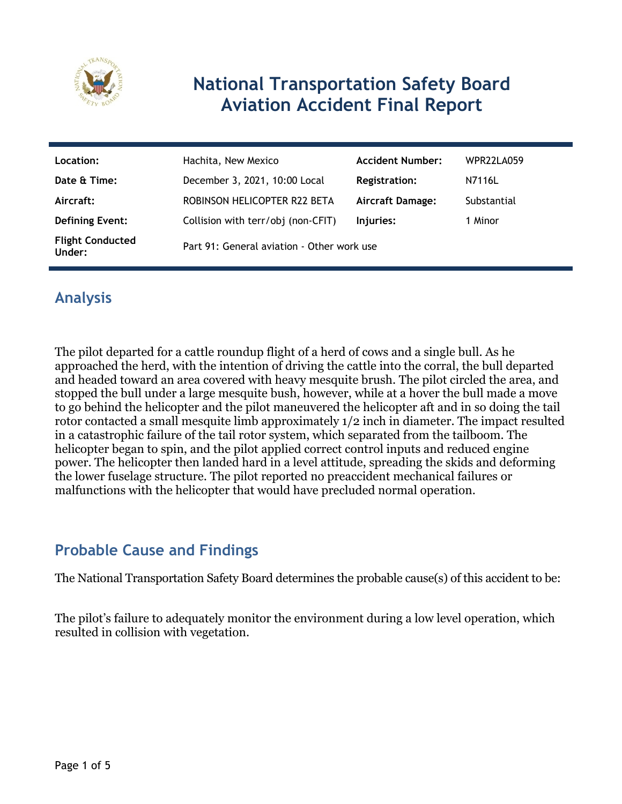

# **National Transportation Safety Board Aviation Accident Final Report**

| Location:                         | Hachita, New Mexico                        | <b>Accident Number:</b> | WPR22LA059  |
|-----------------------------------|--------------------------------------------|-------------------------|-------------|
| Date & Time:                      | December 3, 2021, 10:00 Local              | Registration:           | N7116L      |
| Aircraft:                         | ROBINSON HELICOPTER R22 BETA               | <b>Aircraft Damage:</b> | Substantial |
| <b>Defining Event:</b>            | Collision with terr/obj (non-CFIT)         | Injuries:               | 1 Minor     |
| <b>Flight Conducted</b><br>Under: | Part 91: General aviation - Other work use |                         |             |

## **Analysis**

The pilot departed for a cattle roundup flight of a herd of cows and a single bull. As he approached the herd, with the intention of driving the cattle into the corral, the bull departed and headed toward an area covered with heavy mesquite brush. The pilot circled the area, and stopped the bull under a large mesquite bush, however, while at a hover the bull made a move to go behind the helicopter and the pilot maneuvered the helicopter aft and in so doing the tail rotor contacted a small mesquite limb approximately 1/2 inch in diameter. The impact resulted in a catastrophic failure of the tail rotor system, which separated from the tailboom. The helicopter began to spin, and the pilot applied correct control inputs and reduced engine power. The helicopter then landed hard in a level attitude, spreading the skids and deforming the lower fuselage structure. The pilot reported no preaccident mechanical failures or malfunctions with the helicopter that would have precluded normal operation.

## **Probable Cause and Findings**

The National Transportation Safety Board determines the probable cause(s) of this accident to be:

The pilot's failure to adequately monitor the environment during a low level operation, which resulted in collision with vegetation.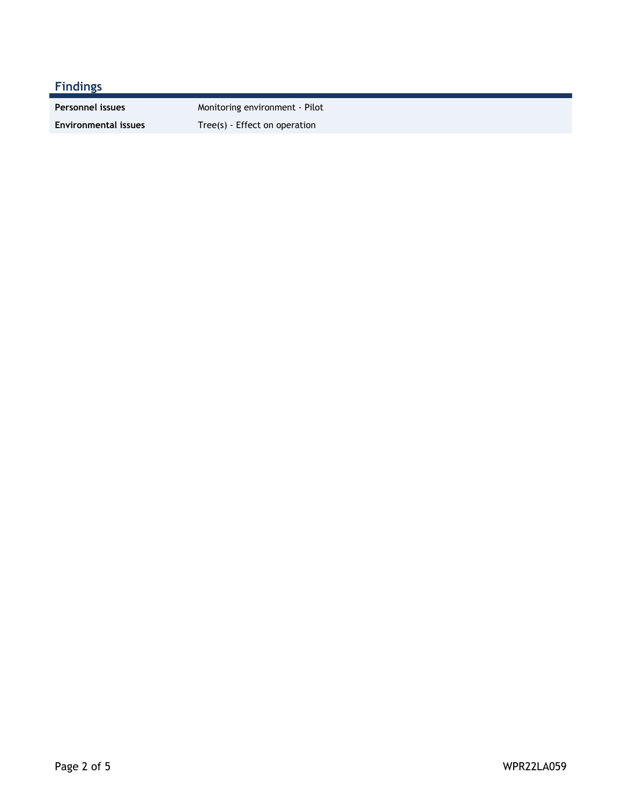### **Findings**

**Environmental issues** Tree(s) - Effect on operation

**Personnel issues** Monitoring environment - Pilot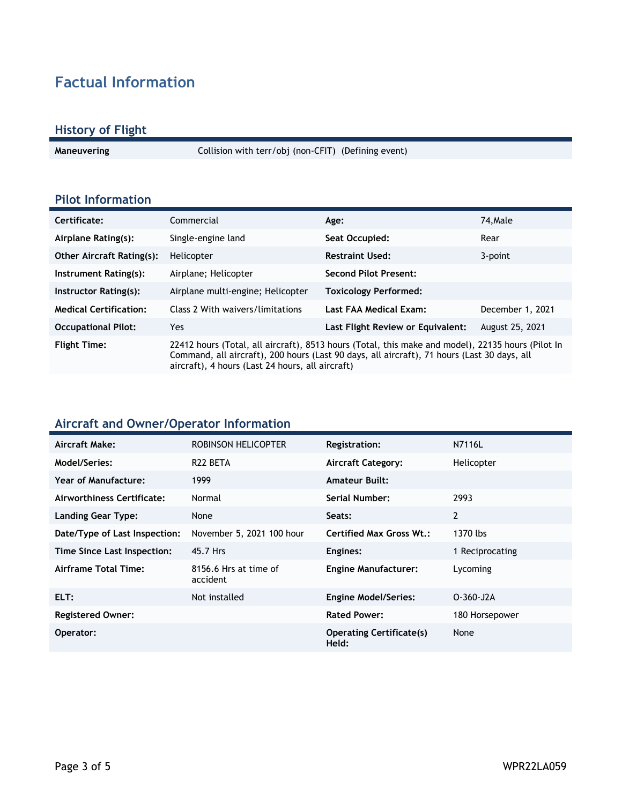## **Factual Information**

#### **History of Flight**

**Maneuvering** Collision with terr/obj (non-CFIT) (Defining event)

#### **Pilot Information**

| Certificate:                     | Commercial                                                                                                                                                                                                                                           | Age:                              | 74.Male          |
|----------------------------------|------------------------------------------------------------------------------------------------------------------------------------------------------------------------------------------------------------------------------------------------------|-----------------------------------|------------------|
| Airplane Rating(s):              | Single-engine land                                                                                                                                                                                                                                   | Seat Occupied:                    | Rear             |
| <b>Other Aircraft Rating(s):</b> | Helicopter                                                                                                                                                                                                                                           | <b>Restraint Used:</b>            | 3-point          |
| Instrument Rating(s):            | Airplane; Helicopter                                                                                                                                                                                                                                 | <b>Second Pilot Present:</b>      |                  |
| Instructor Rating(s):            | Airplane multi-engine; Helicopter                                                                                                                                                                                                                    | <b>Toxicology Performed:</b>      |                  |
| <b>Medical Certification:</b>    | Class 2 With waivers/limitations                                                                                                                                                                                                                     | Last FAA Medical Exam:            | December 1, 2021 |
| <b>Occupational Pilot:</b>       | Yes.                                                                                                                                                                                                                                                 | Last Flight Review or Equivalent: | August 25, 2021  |
| <b>Flight Time:</b>              | 22412 hours (Total, all aircraft), 8513 hours (Total, this make and model), 22135 hours (Pilot In<br>Command, all aircraft), 200 hours (Last 90 days, all aircraft), 71 hours (Last 30 days, all<br>aircraft), 4 hours (Last 24 hours, all aircraft) |                                   |                  |

#### **Aircraft and Owner/Operator Information**

| Aircraft Make:                | ROBINSON HELICOPTER               | <b>Registration:</b>                     | N7116L          |
|-------------------------------|-----------------------------------|------------------------------------------|-----------------|
| <b>Model/Series:</b>          | R <sub>22</sub> BETA              | <b>Aircraft Category:</b>                | Helicopter      |
| Year of Manufacture:          | 1999                              | <b>Amateur Built:</b>                    |                 |
| Airworthiness Certificate:    | Normal                            | Serial Number:                           | 2993            |
| <b>Landing Gear Type:</b>     | None                              | Seats:                                   | 2               |
| Date/Type of Last Inspection: | November 5, 2021 100 hour         | Certified Max Gross Wt.:                 | 1370 lbs        |
| Time Since Last Inspection:   | 45.7 Hrs                          | Engines:                                 | 1 Reciprocating |
| Airframe Total Time:          | 8156.6 Hrs at time of<br>accident | <b>Engine Manufacturer:</b>              | Lycoming        |
| ELT:                          | Not installed                     | <b>Engine Model/Series:</b>              | $O-360-J2A$     |
| <b>Registered Owner:</b>      |                                   | <b>Rated Power:</b>                      | 180 Horsepower  |
| Operator:                     |                                   | <b>Operating Certificate(s)</b><br>Held: | None            |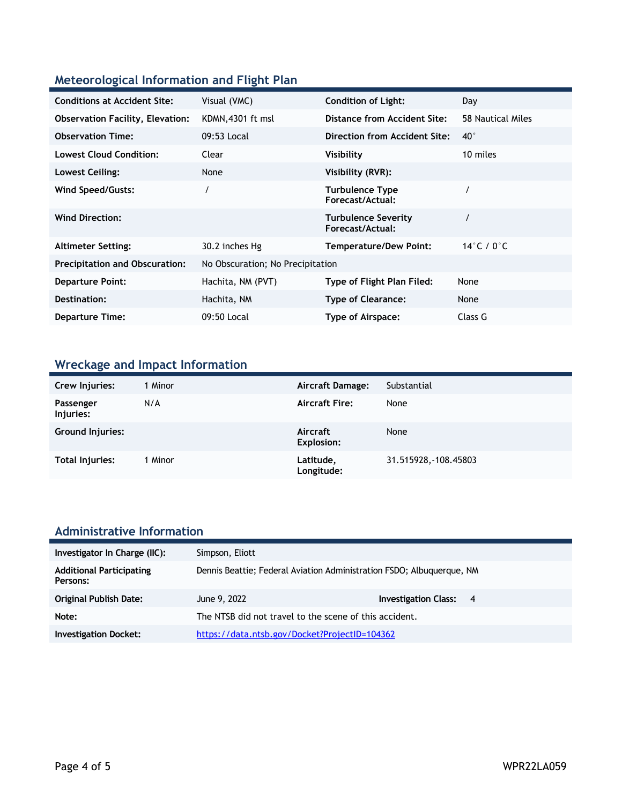### **Meteorological Information and Flight Plan**

| <b>Conditions at Accident Site:</b>     | Visual (VMC)                     | <b>Condition of Light:</b>                     | Day                            |
|-----------------------------------------|----------------------------------|------------------------------------------------|--------------------------------|
| <b>Observation Facility, Elevation:</b> | KDMN, 4301 ft msl                | Distance from Accident Site:                   | 58 Nautical Miles              |
| <b>Observation Time:</b>                | 09:53 Local                      | Direction from Accident Site:                  | $40^{\circ}$                   |
| <b>Lowest Cloud Condition:</b>          | Clear                            | Visibility                                     | 10 miles                       |
| Lowest Ceiling:                         | None                             | Visibility (RVR):                              |                                |
| Wind Speed/Gusts:                       |                                  | <b>Turbulence Type</b><br>Forecast/Actual:     |                                |
| <b>Wind Direction:</b>                  |                                  | <b>Turbulence Severity</b><br>Forecast/Actual: |                                |
| <b>Altimeter Setting:</b>               | 30.2 inches Hg                   | <b>Temperature/Dew Point:</b>                  | 14 $\degree$ C / 0 $\degree$ C |
| <b>Precipitation and Obscuration:</b>   | No Obscuration; No Precipitation |                                                |                                |
| <b>Departure Point:</b>                 | Hachita, NM (PVT)                | Type of Flight Plan Filed:                     | None                           |
| Destination:                            | Hachita, NM                      | <b>Type of Clearance:</b>                      | None                           |
| <b>Departure Time:</b>                  | 09:50 Local                      | Type of Airspace:                              | Class G                        |

## **Wreckage and Impact Information**

| Crew Injuries:          | 1 Minor | Aircraft Damage:              | Substantial           |
|-------------------------|---------|-------------------------------|-----------------------|
| Passenger<br>Injuries:  | N/A     | <b>Aircraft Fire:</b>         | None                  |
| <b>Ground Injuries:</b> |         | Aircraft<br><b>Explosion:</b> | None                  |
| Total Injuries:         | 1 Minor | Latitude,<br>Longitude:       | 31.515928, -108.45803 |

# **Administrative Information**

| Investigator In Charge (IIC):               | Simpson, Eliott                                                       |                               |  |
|---------------------------------------------|-----------------------------------------------------------------------|-------------------------------|--|
| <b>Additional Participating</b><br>Persons: | Dennis Beattie; Federal Aviation Administration FSDO; Albuguergue, NM |                               |  |
| <b>Original Publish Date:</b>               | June 9, 2022                                                          | <b>Investigation Class: 4</b> |  |
| Note:                                       | The NTSB did not travel to the scene of this accident.                |                               |  |
| <b>Investigation Docket:</b>                | https://data.ntsb.gov/Docket?ProjectID=104362                         |                               |  |